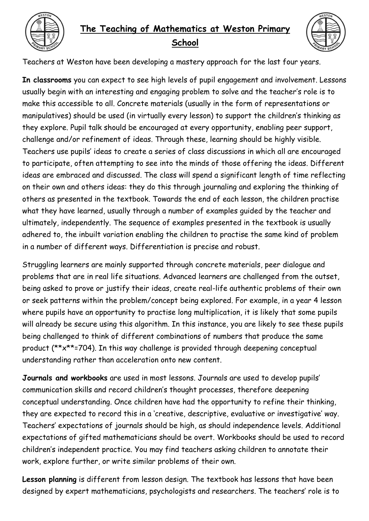

## **The Teaching of Mathematics at Weston Primary**



## **School**

Teachers at Weston have been developing a mastery approach for the last four years.

**In classrooms** you can expect to see high levels of pupil engagement and involvement. Lessons usually begin with an interesting and engaging problem to solve and the teacher's role is to make this accessible to all. Concrete materials (usually in the form of representations or manipulatives) should be used (in virtually every lesson) to support the children's thinking as they explore. Pupil talk should be encouraged at every opportunity, enabling peer support, challenge and/or refinement of ideas. Through these, learning should be highly visible. Teachers use pupils' ideas to create a series of class discussions in which all are encouraged to participate, often attempting to see into the minds of those offering the ideas. Different ideas are embraced and discussed. The class will spend a significant length of time reflecting on their own and others ideas: they do this through journaling and exploring the thinking of others as presented in the textbook. Towards the end of each lesson, the children practise what they have learned, usually through a number of examples guided by the teacher and ultimately, independently. The sequence of examples presented in the textbook is usually adhered to, the inbuilt variation enabling the children to practise the same kind of problem in a number of different ways. Differentiation is precise and robust.

Struggling learners are mainly supported through concrete materials, peer dialogue and problems that are in real life situations. Advanced learners are challenged from the outset, being asked to prove or justify their ideas, create real-life authentic problems of their own or seek patterns within the problem/concept being explored. For example, in a year 4 lesson where pupils have an opportunity to practise long multiplication, it is likely that some pupils will already be secure using this algorithm. In this instance, you are likely to see these pupils being challenged to think of different combinations of numbers that produce the same product (\*\*x\*\*=704). In this way challenge is provided through deepening conceptual understanding rather than acceleration onto new content.

**Journals and workbooks** are used in most lessons. Journals are used to develop pupils' communication skills and record children's thought processes, therefore deepening conceptual understanding. Once children have had the opportunity to refine their thinking, they are expected to record this in a 'creative, descriptive, evaluative or investigative' way. Teachers' expectations of journals should be high, as should independence levels. Additional expectations of gifted mathematicians should be overt. Workbooks should be used to record children's independent practice. You may find teachers asking children to annotate their work, explore further, or write similar problems of their own.

**Lesson planning** is different from lesson design. The textbook has lessons that have been designed by expert mathematicians, psychologists and researchers. The teachers' role is to